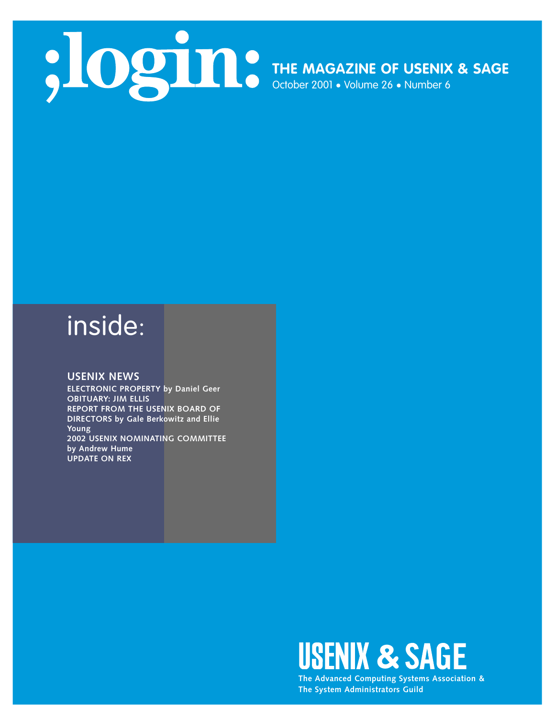

## inside:

### **USENIX NEWS**

**ELECTRONIC PROPERTY by Daniel Geer OBITUARY: JIM ELLIS REPORT FROM THE USENIX BOARD OF DIRECTORS by Gale Berkowitz and Ellie Young 2002 USENIX NOMINATING COMMITTEE by Andrew Hume UPDATE ON REX**



**The Advanced Computing Systems Association & The System Administrators Guild**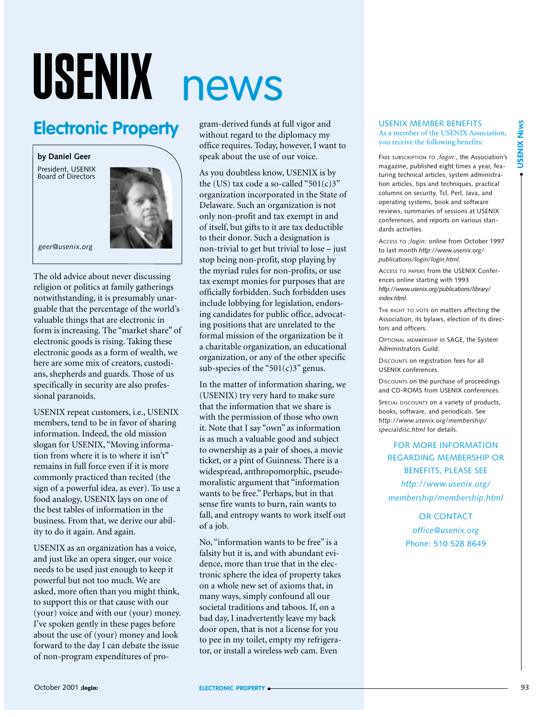# USENIX news

### **Electronic Property**

**by Daniel Geer**

President, USENIX Board of Directors



*geer@usenix.org*

The old advice about never discussing religion or politics at family gatherings notwithstanding, it is presumably unarguable that the percentage of the world's valuable things that are electronic in form is increasing. The "market share" of electronic goods is rising. Taking these electronic goods as a form of wealth, we here are some mix of creators, custodians, shepherds and guards. Those of us specifically in security are also professional paranoids.

USENIX repeat customers, i.e., USENIX members, tend to be in favor of sharing information. Indeed, the old mission slogan for USENIX, "Moving information from where it is to where it isn't" remains in full force even if it is more commonly practiced than recited (the sign of a powerful idea, as ever). To use a food analogy, USENIX lays on one of the best tables of information in the business. From that, we derive our ability to do it again. And again.

USENIX as an organization has a voice, and just like an opera singer, our voice needs to be used just enough to keep it powerful but not too much. We are asked, more often than you might think, to support this or that cause with our (your) voice and with our (your) money. I've spoken gently in these pages before about the use of (your) money and look forward to the day I can debate the issue of non-program expenditures of pro-

gram-derived funds at full vigor and without regard to the diplomacy my office requires. Today, however, I want to speak about the use of our voice.

As you doubtless know, USENIX is by the (US) tax code a so-called "501 $(c)$ 3" organization incorporated in the State of Delaware. Such an organization is not only non-profit and tax exempt in and of itself, but gifts to it are tax deductible to their donor. Such a designation is non-trivial to get but trivial to lose – just stop being non-profit, stop playing by the myriad rules for non-profits, or use tax exempt monies for purposes that are officially forbidden. Such forbidden uses include lobbying for legislation, endorsing candidates for public office, advocating positions that are unrelated to the formal mission of the organization be it a charitable organization, an educational organization, or any of the other specific sub-species of the " $501(c)3$ " genus.

In the matter of information sharing, we (USENIX) try very hard to make sure that the information that we share is with the permission of those who own it. Note that I say "own" as information is as much a valuable good and subject to ownership as a pair of shoes, a movie ticket, or a pint of Guinness. There is a widespread, anthropomorphic, pseudomoralistic argument that "information wants to be free." Perhaps, but in that sense fire wants to burn, rain wants to fall, and entropy wants to work itself out of a job.

No, "information wants to be free" is a falsity but it is, and with abundant evidence, more than true that in the electronic sphere the idea of property takes on a whole new set of axioms that, in many ways, simply confound all our societal traditions and taboos. If, on a bad day, I inadvertently leave my back door open, that is not a license for you to pee in my toilet, empty my refrigerator, or install a wireless web cam. Even

#### USENIX MEMBER BENEFITS As a member of the USENIX Association, you receive the following benefits:

FREE SUBSCRIPTION TO *;login:*, the Association's magazine, published eight times a year, featuring technical articles, system administration articles, tips and techniques, practical columns on security, Tcl, Perl, Java, and operating systems, book and software reviews, summaries of sessions at USENIX conferences, and reports on various standards activities.

ACCESS TO *;login:* online from October 1997 to last month *http://www.usenix.org/ publications/login/login.html.*

ACCESS TO PAPERS from the USENIX Conferences online starting with 1993 *http://www.usenix.org/publications/library/ index.html*.

THE RIGHT TO VOTE on matters affecting the Association, its bylaws, election of its directors and officers.

OPTIONAL MEMBERSHIP in SAGE, the System Administrators Guild.

DISCOUNTS on registration fees for all USENIX conferences.

DISCOUNTS on the purchase of proceedings and CD-ROMS from USENIX conferences.

SPECIAL DISCOUNTS on a variety of products books, software, and periodicals. See *http://www.usenix.org/membership/ specialdisc.html* for details.

FOR MORE INFORMATION REGARDING MEMBERSHIP OR BENEFITS, PLEASE SEE *http://www.usenix.org/ membership/membership.html*

> OR CONTACT *office@usenix.org* Phone: 510 528 8649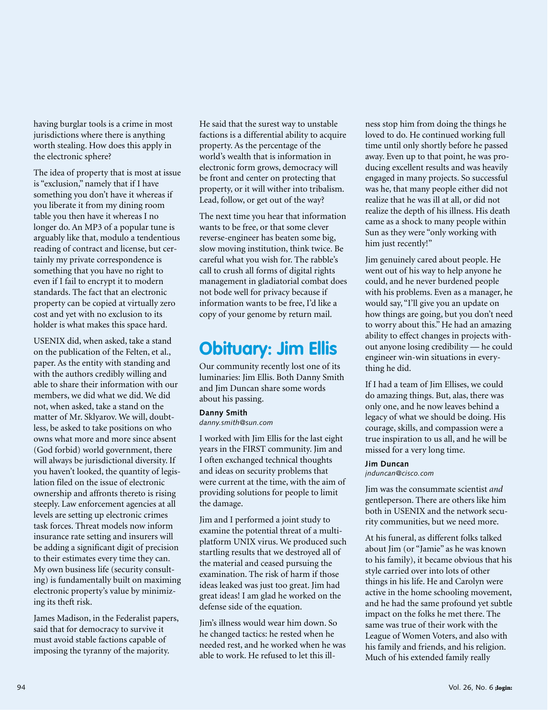having burglar tools is a crime in most jurisdictions where there is anything worth stealing. How does this apply in the electronic sphere?

The idea of property that is most at issue is "exclusion," namely that if I have something you don't have it whereas if you liberate it from my dining room table you then have it whereas I no longer do. An MP3 of a popular tune is arguably like that, modulo a tendentious reading of contract and license, but certainly my private correspondence is something that you have no right to even if I fail to encrypt it to modern standards. The fact that an electronic property can be copied at virtually zero cost and yet with no exclusion to its holder is what makes this space hard.

USENIX did, when asked, take a stand on the publication of the Felten, et al., paper. As the entity with standing and with the authors credibly willing and able to share their information with our members, we did what we did. We did not, when asked, take a stand on the matter of Mr. Sklyarov. We will, doubtless, be asked to take positions on who owns what more and more since absent (God forbid) world government, there will always be jurisdictional diversity. If you haven't looked, the quantity of legislation filed on the issue of electronic ownership and affronts thereto is rising steeply. Law enforcement agencies at all levels are setting up electronic crimes task forces. Threat models now inform insurance rate setting and insurers will be adding a significant digit of precision to their estimates every time they can. My own business life (security consulting) is fundamentally built on maximing electronic property's value by minimizing its theft risk.

James Madison, in the Federalist papers, said that for democracy to survive it must avoid stable factions capable of imposing the tyranny of the majority.

He said that the surest way to unstable factions is a differential ability to acquire property. As the percentage of the world's wealth that is information in electronic form grows, democracy will be front and center on protecting that property, or it will wither into tribalism. Lead, follow, or get out of the way?

The next time you hear that information wants to be free, or that some clever reverse-engineer has beaten some big, slow moving institution, think twice. Be careful what you wish for. The rabble's call to crush all forms of digital rights management in gladiatorial combat does not bode well for privacy because if information wants to be free, I'd like a copy of your genome by return mail.

### **Obituary: Jim Ellis**

Our community recently lost one of its luminaries: Jim Ellis. Both Danny Smith and Jim Duncan share some words about his passing.

### **Danny Smith**

*danny.smith@sun.com*

I worked with Jim Ellis for the last eight years in the FIRST community. Jim and I often exchanged technical thoughts and ideas on security problems that were current at the time, with the aim of providing solutions for people to limit the damage.

Jim and I performed a joint study to examine the potential threat of a multiplatform UNIX virus. We produced such startling results that we destroyed all of the material and ceased pursuing the examination. The risk of harm if those ideas leaked was just too great. Jim had great ideas! I am glad he worked on the defense side of the equation.

Jim's illness would wear him down. So he changed tactics: he rested when he needed rest, and he worked when he was able to work. He refused to let this illness stop him from doing the things he loved to do. He continued working full time until only shortly before he passed away. Even up to that point, he was producing excellent results and was heavily engaged in many projects. So successful was he, that many people either did not realize that he was ill at all, or did not realize the depth of his illness. His death came as a shock to many people within Sun as they were "only working with him just recently!"

Jim genuinely cared about people. He went out of his way to help anyone he could, and he never burdened people with his problems. Even as a manager, he would say, "I'll give you an update on how things are going, but you don't need to worry about this." He had an amazing ability to effect changes in projects without anyone losing credibility — he could engineer win-win situations in everything he did.

If I had a team of Jim Ellises, we could do amazing things. But, alas, there was only one, and he now leaves behind a legacy of what we should be doing. His courage, skills, and compassion were a true inspiration to us all, and he will be missed for a very long time.

#### **Jim Duncan**

*jnduncan@cisco.com*

Jim was the consummate scientist *and* gentleperson. There are others like him both in USENIX and the network security communities, but we need more.

At his funeral, as different folks talked about Jim (or "Jamie" as he was known to his family), it became obvious that his style carried over into lots of other things in his life. He and Carolyn were active in the home schooling movement, and he had the same profound yet subtle impact on the folks he met there. The same was true of their work with the League of Women Voters, and also with his family and friends, and his religion. Much of his extended family really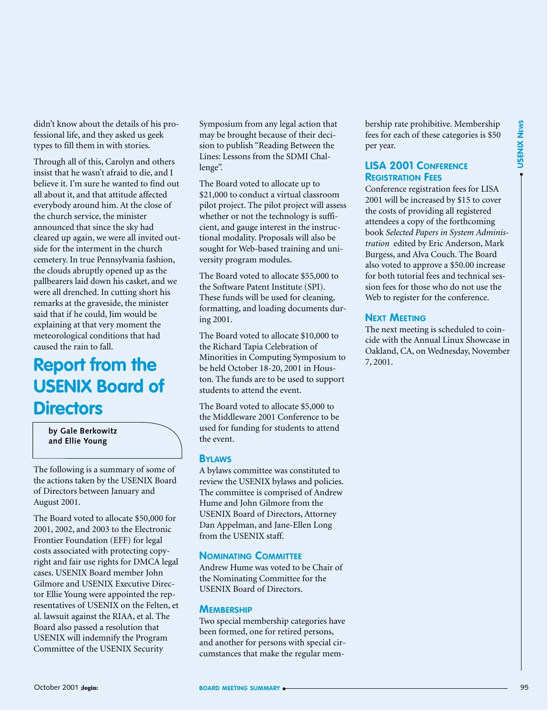didn't know about the details of his professional life, and they asked us geek types to fill them in with stories.

Offer Weak And Scale For Special And Scale For Special And Scale Training the Contents of the Contents of the Contents of the Contents of the Contents of the Contents of the Contents of the Contents of the Contents of the Through all of this, Carolyn and others insist that he wasn't afraid to die, and I believe it. I'm sure he wanted to find out all about it, and that attitude affected everybody around him. At the close of the church service, the minister announced that since the sky had cleared up again, we were all invited outside for the interment in the church cemetery. In true Pennsylvania fashion, the clouds abruptly opened up as the pallbearers laid down his casket, and we were all drenched. In cutting short his remarks at the graveside, the minister said that if he could, Jim would be explaining at that very moment the meteorological conditions that had caused the rain to fall.

### **Report from the USENIX Board of Directors**

**by Gale Berkowitz and Ellie Young**

The following is a summary of some of the actions taken by the USENIX Board of Directors between January and August 2001.

The Board voted to allocate \$50,000 for 2001, 2002, and 2003 to the Electronic Frontier Foundation (EFF) for legal costs associated with protecting copyright and fair use rights for DMCA legal cases. USENIX Board member John Gilmore and USENIX Executive Director Ellie Young were appointed the representatives of USENIX on the Felten, et al. lawsuit against the RIAA, et al. The Board also passed a resolution that USENIX will indemnify the Program Committee of the USENIX Security

Symposium from any legal action that may be brought because of their decision to publish "Reading Between the Lines: Lessons from the SDMI Challenge".

The Board voted to allocate up to \$21,000 to conduct a virtual classroom pilot project. The pilot project will assess whether or not the technology is sufficient, and gauge interest in the instructional modality. Proposals will also be sought for Web-based training and university program modules.

The Board voted to allocate \$55,000 to the Software Patent Institute (SPI). These funds will be used for cleaning, formatting, and loading documents during 2001.

The Board voted to allocate \$10,000 to the Richard Tapia Celebration of Minorities in Computing Symposium to be held October 18-20, 2001 in Houston. The funds are to be used to support students to attend the event.

The Board voted to allocate \$5,000 to the Middleware 2001 Conference to be used for funding for students to attend the event.

### **BYLAWS**

A bylaws committee was constituted to review the USENIX bylaws and policies. The committee is comprised of Andrew Hume and John Gilmore from the USENIX Board of Directors, Attorney Dan Appelman, and Jane-Ellen Long from the USENIX staff.

### **NOMINATING COMMITTEE**

Andrew Hume was voted to be Chair of the Nominating Committee for the USENIX Board of Directors.

#### **MEMBERSHIP**

Two special membership categories have been formed, one for retired persons, and another for persons with special circumstances that make the regular membership rate prohibitive. Membership fees for each of these categories is \$50 per year.

### **LISA 2001 CONFERENCE REGISTRATION FEES**

Conference registration fees for LISA 2001 will be increased by \$15 to cover the costs of providing all registered attendees a copy of the forthcoming book *Selected Papers in System Administration* edited by Eric Anderson, Mark Burgess, and Alva Couch. The Board also voted to approve a \$50.00 increase for both tutorial fees and technical session fees for those who do not use the Web to register for the conference.

### **NEXT MEETING**

The next meeting is scheduled to coincide with the Annual Linux Showcase in Oakland, CA, on Wednesday, November 7, 2001.